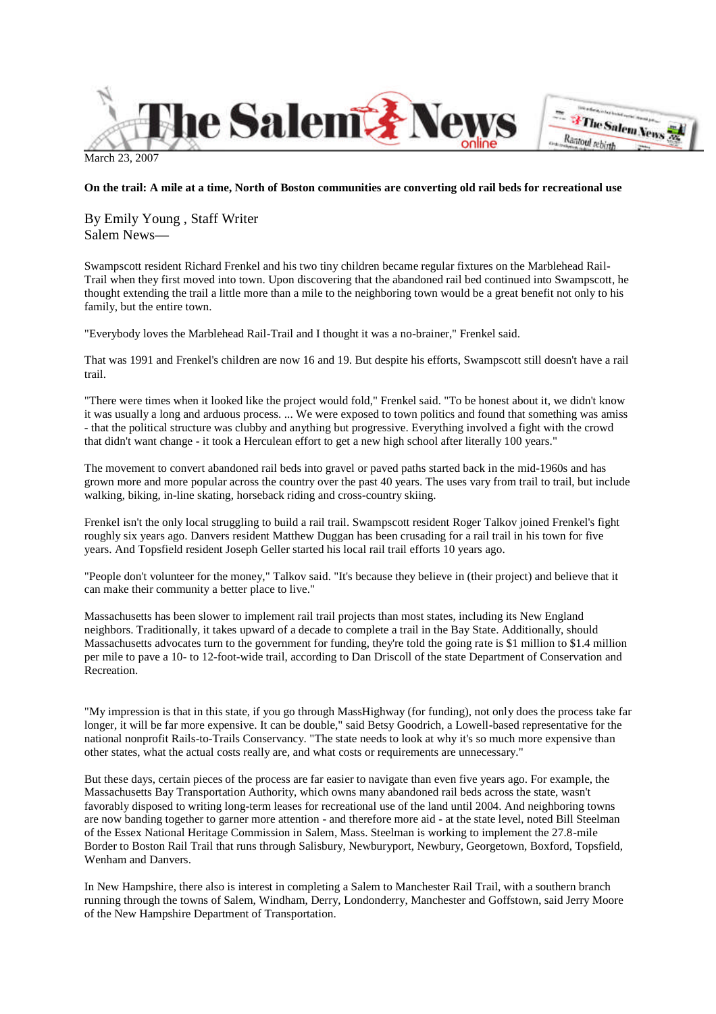

March 23, 2007

# **On the trail: A mile at a time, North of Boston communities are converting old rail beds for recreational use**

By Emily Young , Staff Writer Salem News—

Swampscott resident Richard Frenkel and his two tiny children became regular fixtures on the Marblehead Rail-Trail when they first moved into town. Upon discovering that the abandoned rail bed continued into Swampscott, he thought extending the trail a little more than a mile to the neighboring town would be a great benefit not only to his family, but the entire town.

"Everybody loves the Marblehead Rail-Trail and I thought it was a no-brainer," Frenkel said.

That was 1991 and Frenkel's children are now 16 and 19. But despite his efforts, Swampscott still doesn't have a rail trail.

"There were times when it looked like the project would fold," Frenkel said. "To be honest about it, we didn't know it was usually a long and arduous process. ... We were exposed to town politics and found that something was amiss - that the political structure was clubby and anything but progressive. Everything involved a fight with the crowd that didn't want change - it took a Herculean effort to get a new high school after literally 100 years."

The movement to convert abandoned rail beds into gravel or paved paths started back in the mid-1960s and has grown more and more popular across the country over the past 40 years. The uses vary from trail to trail, but include walking, biking, in-line skating, horseback riding and cross-country skiing.

Frenkel isn't the only local struggling to build a rail trail. Swampscott resident Roger Talkov joined Frenkel's fight roughly six years ago. Danvers resident Matthew Duggan has been crusading for a rail trail in his town for five years. And Topsfield resident Joseph Geller started his local rail trail efforts 10 years ago.

"People don't volunteer for the money," Talkov said. "It's because they believe in (their project) and believe that it can make their community a better place to live."

Massachusetts has been slower to implement rail trail projects than most states, including its New England neighbors. Traditionally, it takes upward of a decade to complete a trail in the Bay State. Additionally, should Massachusetts advocates turn to the government for funding, they're told the going rate is \$1 million to \$1.4 million per mile to pave a 10- to 12-foot-wide trail, according to Dan Driscoll of the state Department of Conservation and Recreation.

"My impression is that in this state, if you go through MassHighway (for funding), not only does the process take far longer, it will be far more expensive. It can be double," said Betsy Goodrich, a Lowell-based representative for the national nonprofit Rails-to-Trails Conservancy. "The state needs to look at why it's so much more expensive than other states, what the actual costs really are, and what costs or requirements are unnecessary."

But these days, certain pieces of the process are far easier to navigate than even five years ago. For example, the Massachusetts Bay Transportation Authority, which owns many abandoned rail beds across the state, wasn't favorably disposed to writing long-term leases for recreational use of the land until 2004. And neighboring towns are now banding together to garner more attention - and therefore more aid - at the state level, noted Bill Steelman of the Essex National Heritage Commission in Salem, Mass. Steelman is working to implement the 27.8-mile Border to Boston Rail Trail that runs through Salisbury, Newburyport, Newbury, Georgetown, Boxford, Topsfield, Wenham and Danvers.

In New Hampshire, there also is interest in completing a Salem to Manchester Rail Trail, with a southern branch running through the towns of Salem, Windham, Derry, Londonderry, Manchester and Goffstown, said Jerry Moore of the New Hampshire Department of Transportation.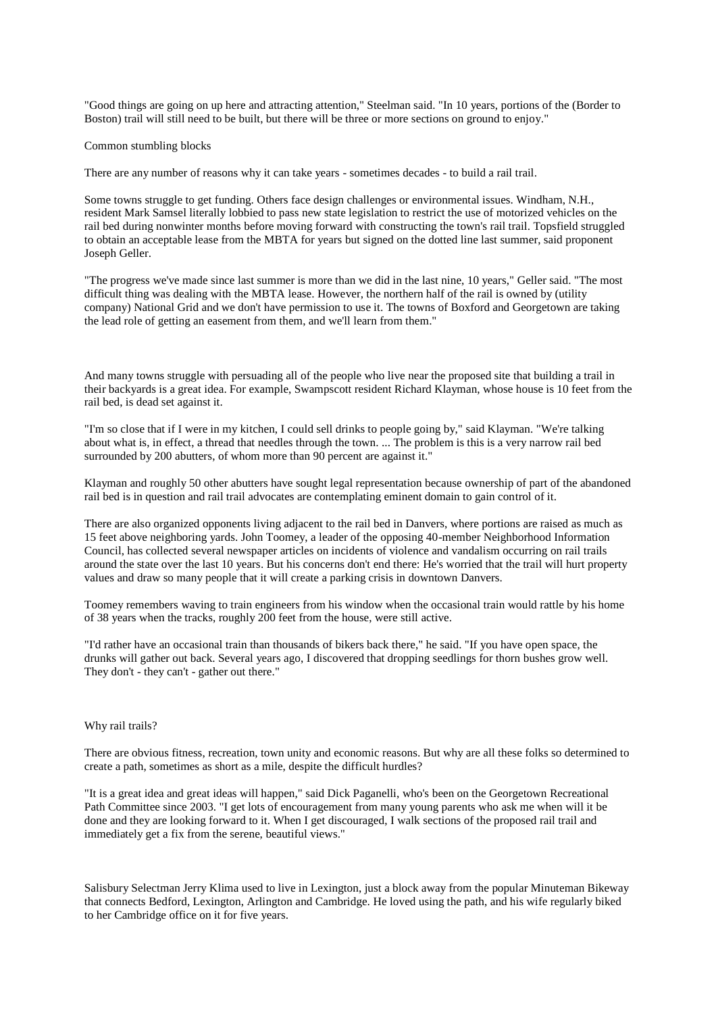"Good things are going on up here and attracting attention," Steelman said. "In 10 years, portions of the (Border to Boston) trail will still need to be built, but there will be three or more sections on ground to enjoy."

Common stumbling blocks

There are any number of reasons why it can take years - sometimes decades - to build a rail trail.

Some towns struggle to get funding. Others face design challenges or environmental issues. Windham, N.H., resident Mark Samsel literally lobbied to pass new state legislation to restrict the use of motorized vehicles on the rail bed during nonwinter months before moving forward with constructing the town's rail trail. Topsfield struggled to obtain an acceptable lease from the MBTA for years but signed on the dotted line last summer, said proponent Joseph Geller.

"The progress we've made since last summer is more than we did in the last nine, 10 years," Geller said. "The most difficult thing was dealing with the MBTA lease. However, the northern half of the rail is owned by (utility company) National Grid and we don't have permission to use it. The towns of Boxford and Georgetown are taking the lead role of getting an easement from them, and we'll learn from them."

And many towns struggle with persuading all of the people who live near the proposed site that building a trail in their backyards is a great idea. For example, Swampscott resident Richard Klayman, whose house is 10 feet from the rail bed, is dead set against it.

"I'm so close that if I were in my kitchen, I could sell drinks to people going by," said Klayman. "We're talking about what is, in effect, a thread that needles through the town. ... The problem is this is a very narrow rail bed surrounded by 200 abutters, of whom more than 90 percent are against it."

Klayman and roughly 50 other abutters have sought legal representation because ownership of part of the abandoned rail bed is in question and rail trail advocates are contemplating eminent domain to gain control of it.

There are also organized opponents living adjacent to the rail bed in Danvers, where portions are raised as much as 15 feet above neighboring yards. John Toomey, a leader of the opposing 40-member Neighborhood Information Council, has collected several newspaper articles on incidents of violence and vandalism occurring on rail trails around the state over the last 10 years. But his concerns don't end there: He's worried that the trail will hurt property values and draw so many people that it will create a parking crisis in downtown Danvers.

Toomey remembers waving to train engineers from his window when the occasional train would rattle by his home of 38 years when the tracks, roughly 200 feet from the house, were still active.

"I'd rather have an occasional train than thousands of bikers back there," he said. "If you have open space, the drunks will gather out back. Several years ago, I discovered that dropping seedlings for thorn bushes grow well. They don't - they can't - gather out there."

#### Why rail trails?

There are obvious fitness, recreation, town unity and economic reasons. But why are all these folks so determined to create a path, sometimes as short as a mile, despite the difficult hurdles?

"It is a great idea and great ideas will happen," said Dick Paganelli, who's been on the Georgetown Recreational Path Committee since 2003. "I get lots of encouragement from many young parents who ask me when will it be done and they are looking forward to it. When I get discouraged, I walk sections of the proposed rail trail and immediately get a fix from the serene, beautiful views."

Salisbury Selectman Jerry Klima used to live in Lexington, just a block away from the popular Minuteman Bikeway that connects Bedford, Lexington, Arlington and Cambridge. He loved using the path, and his wife regularly biked to her Cambridge office on it for five years.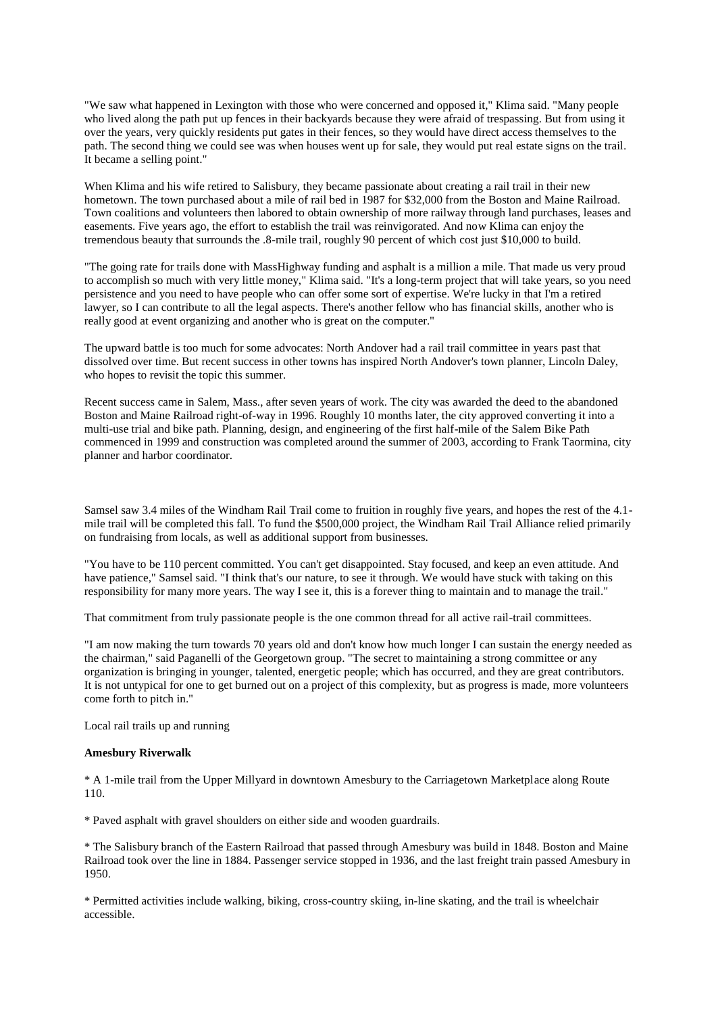"We saw what happened in Lexington with those who were concerned and opposed it," Klima said. "Many people who lived along the path put up fences in their backyards because they were afraid of trespassing. But from using it over the years, very quickly residents put gates in their fences, so they would have direct access themselves to the path. The second thing we could see was when houses went up for sale, they would put real estate signs on the trail. It became a selling point."

When Klima and his wife retired to Salisbury, they became passionate about creating a rail trail in their new hometown. The town purchased about a mile of rail bed in 1987 for \$32,000 from the Boston and Maine Railroad. Town coalitions and volunteers then labored to obtain ownership of more railway through land purchases, leases and easements. Five years ago, the effort to establish the trail was reinvigorated. And now Klima can enjoy the tremendous beauty that surrounds the .8-mile trail, roughly 90 percent of which cost just \$10,000 to build.

"The going rate for trails done with MassHighway funding and asphalt is a million a mile. That made us very proud to accomplish so much with very little money," Klima said. "It's a long-term project that will take years, so you need persistence and you need to have people who can offer some sort of expertise. We're lucky in that I'm a retired lawyer, so I can contribute to all the legal aspects. There's another fellow who has financial skills, another who is really good at event organizing and another who is great on the computer."

The upward battle is too much for some advocates: North Andover had a rail trail committee in years past that dissolved over time. But recent success in other towns has inspired North Andover's town planner, Lincoln Daley, who hopes to revisit the topic this summer.

Recent success came in Salem, Mass., after seven years of work. The city was awarded the deed to the abandoned Boston and Maine Railroad right-of-way in 1996. Roughly 10 months later, the city approved converting it into a multi-use trial and bike path. Planning, design, and engineering of the first half-mile of the Salem Bike Path commenced in 1999 and construction was completed around the summer of 2003, according to Frank Taormina, city planner and harbor coordinator.

Samsel saw 3.4 miles of the Windham Rail Trail come to fruition in roughly five years, and hopes the rest of the 4.1 mile trail will be completed this fall. To fund the \$500,000 project, the Windham Rail Trail Alliance relied primarily on fundraising from locals, as well as additional support from businesses.

"You have to be 110 percent committed. You can't get disappointed. Stay focused, and keep an even attitude. And have patience," Samsel said. "I think that's our nature, to see it through. We would have stuck with taking on this responsibility for many more years. The way I see it, this is a forever thing to maintain and to manage the trail."

That commitment from truly passionate people is the one common thread for all active rail-trail committees.

"I am now making the turn towards 70 years old and don't know how much longer I can sustain the energy needed as the chairman," said Paganelli of the Georgetown group. "The secret to maintaining a strong committee or any organization is bringing in younger, talented, energetic people; which has occurred, and they are great contributors. It is not untypical for one to get burned out on a project of this complexity, but as progress is made, more volunteers come forth to pitch in."

Local rail trails up and running

### **Amesbury Riverwalk**

\* A 1-mile trail from the Upper Millyard in downtown Amesbury to the Carriagetown Marketplace along Route 110.

\* Paved asphalt with gravel shoulders on either side and wooden guardrails.

\* The Salisbury branch of the Eastern Railroad that passed through Amesbury was build in 1848. Boston and Maine Railroad took over the line in 1884. Passenger service stopped in 1936, and the last freight train passed Amesbury in 1950.

\* Permitted activities include walking, biking, cross-country skiing, in-line skating, and the trail is wheelchair accessible.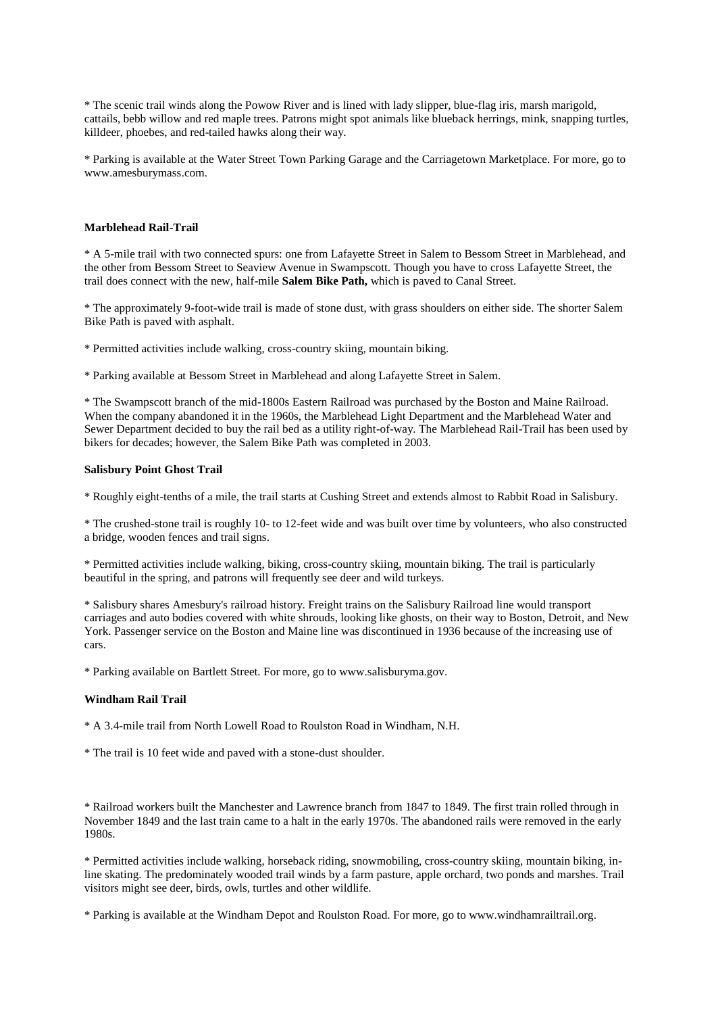\* The scenic trail winds along the Powow River and is lined with lady slipper, blue-flag iris, marsh marigold, cattails, bebb willow and red maple trees. Patrons might spot animals like blueback herrings, mink, snapping turtles, killdeer, phoebes, and red-tailed hawks along their way.

\* Parking is available at the Water Street Town Parking Garage and the Carriagetown Marketplace. For more, go to www.amesburymass.com.

### **Marblehead Rail-Trail**

\* A 5-mile trail with two connected spurs: one from Lafayette Street in Salem to Bessom Street in Marblehead, and the other from Bessom Street to Seaview Avenue in Swampscott. Though you have to cross Lafayette Street, the trail does connect with the new, half-mile **Salem Bike Path,** which is paved to Canal Street.

\* The approximately 9-foot-wide trail is made of stone dust, with grass shoulders on either side. The shorter Salem Bike Path is paved with asphalt.

\* Permitted activities include walking, cross-country skiing, mountain biking.

\* Parking available at Bessom Street in Marblehead and along Lafayette Street in Salem.

\* The Swampscott branch of the mid-1800s Eastern Railroad was purchased by the Boston and Maine Railroad. When the company abandoned it in the 1960s, the Marblehead Light Department and the Marblehead Water and Sewer Department decided to buy the rail bed as a utility right-of-way. The Marblehead Rail-Trail has been used by bikers for decades; however, the Salem Bike Path was completed in 2003.

# **Salisbury Point Ghost Trail**

\* Roughly eight-tenths of a mile, the trail starts at Cushing Street and extends almost to Rabbit Road in Salisbury.

\* The crushed-stone trail is roughly 10- to 12-feet wide and was built over time by volunteers, who also constructed a bridge, wooden fences and trail signs.

\* Permitted activities include walking, biking, cross-country skiing, mountain biking. The trail is particularly beautiful in the spring, and patrons will frequently see deer and wild turkeys.

\* Salisbury shares Amesbury's railroad history. Freight trains on the Salisbury Railroad line would transport carriages and auto bodies covered with white shrouds, looking like ghosts, on their way to Boston, Detroit, and New York. Passenger service on the Boston and Maine line was discontinued in 1936 because of the increasing use of cars.

\* Parking available on Bartlett Street. For more, go to www.salisburyma.gov.

#### **Windham Rail Trail**

\* A 3.4-mile trail from North Lowell Road to Roulston Road in Windham, N.H.

\* The trail is 10 feet wide and paved with a stone-dust shoulder.

\* Railroad workers built the Manchester and Lawrence branch from 1847 to 1849. The first train rolled through in November 1849 and the last train came to a halt in the early 1970s. The abandoned rails were removed in the early 1980s.

\* Permitted activities include walking, horseback riding, snowmobiling, cross-country skiing, mountain biking, inline skating. The predominately wooded trail winds by a farm pasture, apple orchard, two ponds and marshes. Trail visitors might see deer, birds, owls, turtles and other wildlife.

\* Parking is available at the Windham Depot and Roulston Road. For more, go to www.windhamrailtrail.org.